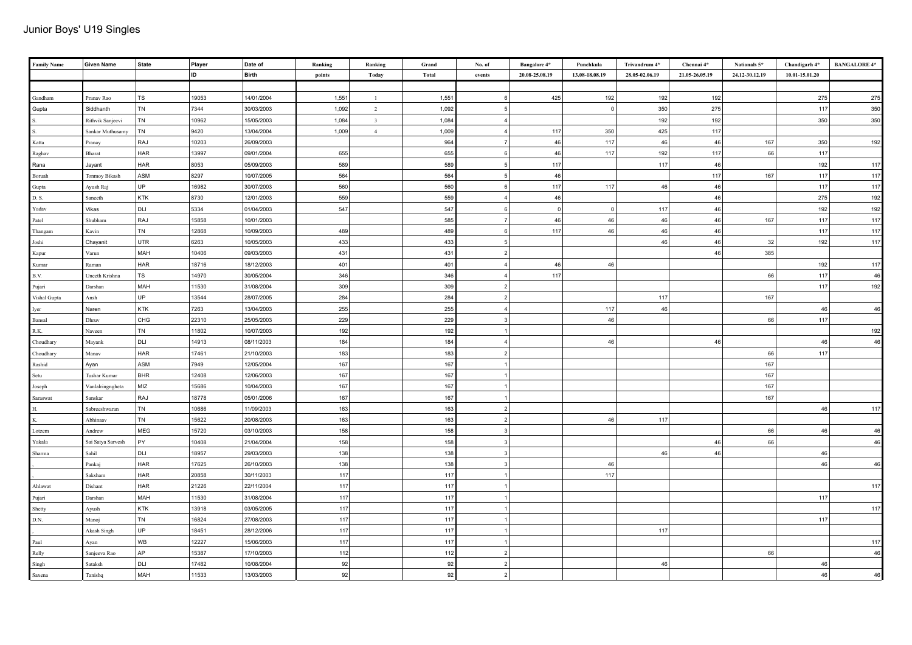| ID.<br><b>Birth</b><br>20.08-25.08.19<br>13.08-18.08.19<br>28.05-02.06.19<br>21.05-26.05.19<br>24.12-30.12.19<br>10.01-15.01.20<br>points<br>Today<br>Total<br>events<br><b>TS</b><br>19053<br>14/01/2004<br>1,551<br>1,551<br>425<br>192<br>192<br>192<br>275<br>275<br>$\mathbf{1}$<br>$\epsilon$<br>Pranav Rao<br><b>TN</b><br>7344<br>350<br>275<br>117<br>350<br>Siddhanth<br>30/03/2003<br>1,092<br>$\overline{2}$<br>1,092<br>$\circ$<br>192<br>192<br>350<br>TN<br>10962<br>15/05/2003<br>1,084<br>$\overline{\mathbf{3}}$<br>1,084<br>350<br>Rithvik Sanjeevi<br>425<br>TN<br>9420<br>13/04/2004<br>$\overline{4}$<br>117<br>350<br>117<br>Sankar Muthusamy<br>1,009<br>1,009<br>$\boldsymbol{A}$<br>RAJ<br>10203<br>26/09/2003<br>964<br>46<br>46<br>46<br>167<br>350<br>192<br>$\overline{7}$<br>117<br>Pranay<br><b>HAR</b><br>46<br>66<br>13997<br>09/01/2004<br>655<br>655<br>6<br>117<br>192<br>117<br>117<br>Bharat<br>HAR<br>589<br>5<br>117<br>117<br>46<br>192<br>117<br>8053<br>05/09/2003<br>589<br>Jayant<br>46<br>117<br>ASM<br>8297<br>10/07/2005<br>564<br>564<br>117<br>167<br>117<br>Tonmoy Bikash<br><b>UP</b><br>Ayush Raj<br>16982<br>30/07/2003<br>560<br>560<br>117<br>117<br>46<br>46<br>117<br>117<br>6<br>275<br><b>KTK</b><br>8730<br>12/01/2003<br>559<br>559<br>46<br>46<br>192<br>Saneeth<br>$\boldsymbol{A}$<br>DLI<br>5334<br>192<br>Vikas<br>01/04/2003<br>547<br>547<br> 0 <br>46<br>192<br>6<br> 0 <br>117<br><b>RAJ</b><br>46<br>46<br>46<br>46<br>117<br>Shubham<br>15858<br>10/01/2003<br>585<br>$\overline{7}$<br>167<br>117<br><b>TN</b><br>12868<br>10/09/2003<br>117<br>46<br>46<br>46<br>117<br>117<br>489<br>489<br>$\epsilon$<br>Kavin<br>UTR<br>46<br>46<br>192<br>117<br>6263<br>10/05/2003<br>433<br>433<br>32<br>Chayanit<br>5<br>Joshi<br>MAH<br>46 <sup>1</sup><br>10406<br>09/03/2003<br>431<br>431<br>$\overline{2}$<br>385<br>Varun<br>HAR<br>18716<br>46<br>192<br>18/12/2003<br>401<br>401<br>46<br>117<br>Raman<br>$\overline{4}$<br>TS<br>117<br>14970<br>30/05/2004<br>346<br>346<br>117<br>46<br>Uneeth Krishna<br>66<br>$\overline{4}$<br>MAH<br>309<br>117<br>Darshan<br>11530<br>31/08/2004<br>309<br>192<br>$\overline{2}$<br><b>UP</b><br>13544<br>284<br>117<br>167<br>28/07/2005<br>284<br>Ansh<br>$\overline{2}$<br><b>KTK</b><br>46<br>7263<br>13/04/2003<br>255<br>255<br>117<br>46<br>46<br>Naren<br>$\overline{4}$<br>Iyer<br>CHG<br>46<br>22310<br>25/05/2003<br>229<br>229<br>66<br>117<br>Dhruv<br>3<br>TN<br>192<br>11802<br>10/07/2003<br>192<br>192<br>Naveen<br>DLI<br>46<br>14913<br>08/11/2003<br>184<br>46<br>46<br>Mayank<br>184<br>46<br>$\boldsymbol{A}$<br><b>HAR</b><br>Manav<br>17461<br>21/10/2003<br>183<br>183<br>66<br>117<br>Choudhary<br>$\overline{2}$<br>ASM<br>7949<br>12/05/2004<br>167<br>167<br>167<br>Ayan<br><b>BHR</b><br>12408<br>12/06/2003<br>167<br>Tushar Kumar<br>167<br>167<br>Setu<br>MIZ<br>167<br>15686<br>10/04/2003<br>167<br>167<br>Vanlalringngheta<br>Joseph<br><b>RAJ</b><br>18778<br>Sanskar<br>05/01/2006<br>167<br>167<br>167<br>TN<br>10686<br>163<br>117<br>11/09/2003<br>163<br>46<br>Sabreeshwaran<br>$\overline{2}$<br><b>TN</b><br>15622<br>20/08/2003<br>46<br>Abhinaav<br>163<br>163<br>$\overline{2}$<br>117<br>MEG<br>158<br>66<br>46<br>46<br>15720<br>03/10/2003<br>158<br>Andrew<br>3<br>PY)<br>21/04/2004<br>10408<br>158<br>158<br>46<br>66<br>46<br>Yakala<br>Sai Satya Sarvesh<br>3<br>DLI<br>Sahil<br>18957<br>138<br>46<br>46<br>29/03/2003<br>138<br>46<br>Sharma<br>3<br>HAR<br>46<br>17625<br>26/10/2003<br>138<br>138<br>46<br>46<br>Pankaj<br>Saksham<br>HAR<br>20858<br>30/11/2003<br>117<br>117<br>117<br>HAR<br>21226<br>117<br>117<br>Dishant<br>22/11/2004<br>117<br>Darshan<br>MAH<br>11530<br>31/08/2004<br>117<br>117<br>117<br><b>KTK</b><br>117<br>13918<br>117<br>Ayush<br>03/05/2005<br>117<br>Shetty<br>TN<br>16824<br>117<br>Manoj<br>27/08/2003<br>117<br>117<br>UP<br>18451<br>28/12/2006<br>117<br>117<br>117<br>Akash Singh<br>WB<br>12227<br>15/06/2003<br>117<br>117<br>117<br>Ayan<br>AP<br>15387<br>112<br>66<br>Sanjeeva Rao<br>17/10/2003<br>112<br>$\overline{2}$<br>DLI<br>17482<br>10/08/2004<br>92<br>$\overline{2}$<br>46<br>46<br>Sataksh<br>92 | <b>Family Name</b> | <b>Given Name</b> | State | Player | Date of    | Ranking | Ranking | Grand | No. of | Bangalore 4* | Punchkula | Trivandrum 4* | Chennai 4* | Nationals 5* | Chandigarh 4* | <b>BANGALORE 4*</b> |
|------------------------------------------------------------------------------------------------------------------------------------------------------------------------------------------------------------------------------------------------------------------------------------------------------------------------------------------------------------------------------------------------------------------------------------------------------------------------------------------------------------------------------------------------------------------------------------------------------------------------------------------------------------------------------------------------------------------------------------------------------------------------------------------------------------------------------------------------------------------------------------------------------------------------------------------------------------------------------------------------------------------------------------------------------------------------------------------------------------------------------------------------------------------------------------------------------------------------------------------------------------------------------------------------------------------------------------------------------------------------------------------------------------------------------------------------------------------------------------------------------------------------------------------------------------------------------------------------------------------------------------------------------------------------------------------------------------------------------------------------------------------------------------------------------------------------------------------------------------------------------------------------------------------------------------------------------------------------------------------------------------------------------------------------------------------------------------------------------------------------------------------------------------------------------------------------------------------------------------------------------------------------------------------------------------------------------------------------------------------------------------------------------------------------------------------------------------------------------------------------------------------------------------------------------------------------------------------------------------------------------------------------------------------------------------------------------------------------------------------------------------------------------------------------------------------------------------------------------------------------------------------------------------------------------------------------------------------------------------------------------------------------------------------------------------------------------------------------------------------------------------------------------------------------------------------------------------------------------------------------------------------------------------------------------------------------------------------------------------------------------------------------------------------------------------------------------------------------------------------------------------------------------------------------------------------------------------------------------------------------------------------------------------------------------------------------------------------------------------------------------------------------------------------------------------------------------------------------------------------------------------------------------------------------------------------------------------------------------------------------------------------------------------------------------------------------------------------------------------------------------------------------------------------------------------------------------------------------------------------|--------------------|-------------------|-------|--------|------------|---------|---------|-------|--------|--------------|-----------|---------------|------------|--------------|---------------|---------------------|
|                                                                                                                                                                                                                                                                                                                                                                                                                                                                                                                                                                                                                                                                                                                                                                                                                                                                                                                                                                                                                                                                                                                                                                                                                                                                                                                                                                                                                                                                                                                                                                                                                                                                                                                                                                                                                                                                                                                                                                                                                                                                                                                                                                                                                                                                                                                                                                                                                                                                                                                                                                                                                                                                                                                                                                                                                                                                                                                                                                                                                                                                                                                                                                                                                                                                                                                                                                                                                                                                                                                                                                                                                                                                                                                                                                                                                                                                                                                                                                                                                                                                                                                                                                                                                                          |                    |                   |       |        |            |         |         |       |        |              |           |               |            |              |               |                     |
|                                                                                                                                                                                                                                                                                                                                                                                                                                                                                                                                                                                                                                                                                                                                                                                                                                                                                                                                                                                                                                                                                                                                                                                                                                                                                                                                                                                                                                                                                                                                                                                                                                                                                                                                                                                                                                                                                                                                                                                                                                                                                                                                                                                                                                                                                                                                                                                                                                                                                                                                                                                                                                                                                                                                                                                                                                                                                                                                                                                                                                                                                                                                                                                                                                                                                                                                                                                                                                                                                                                                                                                                                                                                                                                                                                                                                                                                                                                                                                                                                                                                                                                                                                                                                                          |                    |                   |       |        |            |         |         |       |        |              |           |               |            |              |               |                     |
|                                                                                                                                                                                                                                                                                                                                                                                                                                                                                                                                                                                                                                                                                                                                                                                                                                                                                                                                                                                                                                                                                                                                                                                                                                                                                                                                                                                                                                                                                                                                                                                                                                                                                                                                                                                                                                                                                                                                                                                                                                                                                                                                                                                                                                                                                                                                                                                                                                                                                                                                                                                                                                                                                                                                                                                                                                                                                                                                                                                                                                                                                                                                                                                                                                                                                                                                                                                                                                                                                                                                                                                                                                                                                                                                                                                                                                                                                                                                                                                                                                                                                                                                                                                                                                          | Gandham            |                   |       |        |            |         |         |       |        |              |           |               |            |              |               |                     |
|                                                                                                                                                                                                                                                                                                                                                                                                                                                                                                                                                                                                                                                                                                                                                                                                                                                                                                                                                                                                                                                                                                                                                                                                                                                                                                                                                                                                                                                                                                                                                                                                                                                                                                                                                                                                                                                                                                                                                                                                                                                                                                                                                                                                                                                                                                                                                                                                                                                                                                                                                                                                                                                                                                                                                                                                                                                                                                                                                                                                                                                                                                                                                                                                                                                                                                                                                                                                                                                                                                                                                                                                                                                                                                                                                                                                                                                                                                                                                                                                                                                                                                                                                                                                                                          | Gupta              |                   |       |        |            |         |         |       |        |              |           |               |            |              |               |                     |
|                                                                                                                                                                                                                                                                                                                                                                                                                                                                                                                                                                                                                                                                                                                                                                                                                                                                                                                                                                                                                                                                                                                                                                                                                                                                                                                                                                                                                                                                                                                                                                                                                                                                                                                                                                                                                                                                                                                                                                                                                                                                                                                                                                                                                                                                                                                                                                                                                                                                                                                                                                                                                                                                                                                                                                                                                                                                                                                                                                                                                                                                                                                                                                                                                                                                                                                                                                                                                                                                                                                                                                                                                                                                                                                                                                                                                                                                                                                                                                                                                                                                                                                                                                                                                                          |                    |                   |       |        |            |         |         |       |        |              |           |               |            |              |               |                     |
|                                                                                                                                                                                                                                                                                                                                                                                                                                                                                                                                                                                                                                                                                                                                                                                                                                                                                                                                                                                                                                                                                                                                                                                                                                                                                                                                                                                                                                                                                                                                                                                                                                                                                                                                                                                                                                                                                                                                                                                                                                                                                                                                                                                                                                                                                                                                                                                                                                                                                                                                                                                                                                                                                                                                                                                                                                                                                                                                                                                                                                                                                                                                                                                                                                                                                                                                                                                                                                                                                                                                                                                                                                                                                                                                                                                                                                                                                                                                                                                                                                                                                                                                                                                                                                          |                    |                   |       |        |            |         |         |       |        |              |           |               |            |              |               |                     |
|                                                                                                                                                                                                                                                                                                                                                                                                                                                                                                                                                                                                                                                                                                                                                                                                                                                                                                                                                                                                                                                                                                                                                                                                                                                                                                                                                                                                                                                                                                                                                                                                                                                                                                                                                                                                                                                                                                                                                                                                                                                                                                                                                                                                                                                                                                                                                                                                                                                                                                                                                                                                                                                                                                                                                                                                                                                                                                                                                                                                                                                                                                                                                                                                                                                                                                                                                                                                                                                                                                                                                                                                                                                                                                                                                                                                                                                                                                                                                                                                                                                                                                                                                                                                                                          | Katta              |                   |       |        |            |         |         |       |        |              |           |               |            |              |               |                     |
|                                                                                                                                                                                                                                                                                                                                                                                                                                                                                                                                                                                                                                                                                                                                                                                                                                                                                                                                                                                                                                                                                                                                                                                                                                                                                                                                                                                                                                                                                                                                                                                                                                                                                                                                                                                                                                                                                                                                                                                                                                                                                                                                                                                                                                                                                                                                                                                                                                                                                                                                                                                                                                                                                                                                                                                                                                                                                                                                                                                                                                                                                                                                                                                                                                                                                                                                                                                                                                                                                                                                                                                                                                                                                                                                                                                                                                                                                                                                                                                                                                                                                                                                                                                                                                          | Raghav             |                   |       |        |            |         |         |       |        |              |           |               |            |              |               |                     |
|                                                                                                                                                                                                                                                                                                                                                                                                                                                                                                                                                                                                                                                                                                                                                                                                                                                                                                                                                                                                                                                                                                                                                                                                                                                                                                                                                                                                                                                                                                                                                                                                                                                                                                                                                                                                                                                                                                                                                                                                                                                                                                                                                                                                                                                                                                                                                                                                                                                                                                                                                                                                                                                                                                                                                                                                                                                                                                                                                                                                                                                                                                                                                                                                                                                                                                                                                                                                                                                                                                                                                                                                                                                                                                                                                                                                                                                                                                                                                                                                                                                                                                                                                                                                                                          | Rana               |                   |       |        |            |         |         |       |        |              |           |               |            |              |               |                     |
|                                                                                                                                                                                                                                                                                                                                                                                                                                                                                                                                                                                                                                                                                                                                                                                                                                                                                                                                                                                                                                                                                                                                                                                                                                                                                                                                                                                                                                                                                                                                                                                                                                                                                                                                                                                                                                                                                                                                                                                                                                                                                                                                                                                                                                                                                                                                                                                                                                                                                                                                                                                                                                                                                                                                                                                                                                                                                                                                                                                                                                                                                                                                                                                                                                                                                                                                                                                                                                                                                                                                                                                                                                                                                                                                                                                                                                                                                                                                                                                                                                                                                                                                                                                                                                          | Boruah             |                   |       |        |            |         |         |       |        |              |           |               |            |              |               |                     |
|                                                                                                                                                                                                                                                                                                                                                                                                                                                                                                                                                                                                                                                                                                                                                                                                                                                                                                                                                                                                                                                                                                                                                                                                                                                                                                                                                                                                                                                                                                                                                                                                                                                                                                                                                                                                                                                                                                                                                                                                                                                                                                                                                                                                                                                                                                                                                                                                                                                                                                                                                                                                                                                                                                                                                                                                                                                                                                                                                                                                                                                                                                                                                                                                                                                                                                                                                                                                                                                                                                                                                                                                                                                                                                                                                                                                                                                                                                                                                                                                                                                                                                                                                                                                                                          | Gupta              |                   |       |        |            |         |         |       |        |              |           |               |            |              |               |                     |
|                                                                                                                                                                                                                                                                                                                                                                                                                                                                                                                                                                                                                                                                                                                                                                                                                                                                                                                                                                                                                                                                                                                                                                                                                                                                                                                                                                                                                                                                                                                                                                                                                                                                                                                                                                                                                                                                                                                                                                                                                                                                                                                                                                                                                                                                                                                                                                                                                                                                                                                                                                                                                                                                                                                                                                                                                                                                                                                                                                                                                                                                                                                                                                                                                                                                                                                                                                                                                                                                                                                                                                                                                                                                                                                                                                                                                                                                                                                                                                                                                                                                                                                                                                                                                                          | D.S.               |                   |       |        |            |         |         |       |        |              |           |               |            |              |               |                     |
|                                                                                                                                                                                                                                                                                                                                                                                                                                                                                                                                                                                                                                                                                                                                                                                                                                                                                                                                                                                                                                                                                                                                                                                                                                                                                                                                                                                                                                                                                                                                                                                                                                                                                                                                                                                                                                                                                                                                                                                                                                                                                                                                                                                                                                                                                                                                                                                                                                                                                                                                                                                                                                                                                                                                                                                                                                                                                                                                                                                                                                                                                                                                                                                                                                                                                                                                                                                                                                                                                                                                                                                                                                                                                                                                                                                                                                                                                                                                                                                                                                                                                                                                                                                                                                          | Yadav              |                   |       |        |            |         |         |       |        |              |           |               |            |              |               |                     |
|                                                                                                                                                                                                                                                                                                                                                                                                                                                                                                                                                                                                                                                                                                                                                                                                                                                                                                                                                                                                                                                                                                                                                                                                                                                                                                                                                                                                                                                                                                                                                                                                                                                                                                                                                                                                                                                                                                                                                                                                                                                                                                                                                                                                                                                                                                                                                                                                                                                                                                                                                                                                                                                                                                                                                                                                                                                                                                                                                                                                                                                                                                                                                                                                                                                                                                                                                                                                                                                                                                                                                                                                                                                                                                                                                                                                                                                                                                                                                                                                                                                                                                                                                                                                                                          | Patel              |                   |       |        |            |         |         |       |        |              |           |               |            |              |               |                     |
|                                                                                                                                                                                                                                                                                                                                                                                                                                                                                                                                                                                                                                                                                                                                                                                                                                                                                                                                                                                                                                                                                                                                                                                                                                                                                                                                                                                                                                                                                                                                                                                                                                                                                                                                                                                                                                                                                                                                                                                                                                                                                                                                                                                                                                                                                                                                                                                                                                                                                                                                                                                                                                                                                                                                                                                                                                                                                                                                                                                                                                                                                                                                                                                                                                                                                                                                                                                                                                                                                                                                                                                                                                                                                                                                                                                                                                                                                                                                                                                                                                                                                                                                                                                                                                          | Thangam            |                   |       |        |            |         |         |       |        |              |           |               |            |              |               |                     |
|                                                                                                                                                                                                                                                                                                                                                                                                                                                                                                                                                                                                                                                                                                                                                                                                                                                                                                                                                                                                                                                                                                                                                                                                                                                                                                                                                                                                                                                                                                                                                                                                                                                                                                                                                                                                                                                                                                                                                                                                                                                                                                                                                                                                                                                                                                                                                                                                                                                                                                                                                                                                                                                                                                                                                                                                                                                                                                                                                                                                                                                                                                                                                                                                                                                                                                                                                                                                                                                                                                                                                                                                                                                                                                                                                                                                                                                                                                                                                                                                                                                                                                                                                                                                                                          |                    |                   |       |        |            |         |         |       |        |              |           |               |            |              |               |                     |
|                                                                                                                                                                                                                                                                                                                                                                                                                                                                                                                                                                                                                                                                                                                                                                                                                                                                                                                                                                                                                                                                                                                                                                                                                                                                                                                                                                                                                                                                                                                                                                                                                                                                                                                                                                                                                                                                                                                                                                                                                                                                                                                                                                                                                                                                                                                                                                                                                                                                                                                                                                                                                                                                                                                                                                                                                                                                                                                                                                                                                                                                                                                                                                                                                                                                                                                                                                                                                                                                                                                                                                                                                                                                                                                                                                                                                                                                                                                                                                                                                                                                                                                                                                                                                                          | Kapur              |                   |       |        |            |         |         |       |        |              |           |               |            |              |               |                     |
|                                                                                                                                                                                                                                                                                                                                                                                                                                                                                                                                                                                                                                                                                                                                                                                                                                                                                                                                                                                                                                                                                                                                                                                                                                                                                                                                                                                                                                                                                                                                                                                                                                                                                                                                                                                                                                                                                                                                                                                                                                                                                                                                                                                                                                                                                                                                                                                                                                                                                                                                                                                                                                                                                                                                                                                                                                                                                                                                                                                                                                                                                                                                                                                                                                                                                                                                                                                                                                                                                                                                                                                                                                                                                                                                                                                                                                                                                                                                                                                                                                                                                                                                                                                                                                          | Kumar              |                   |       |        |            |         |         |       |        |              |           |               |            |              |               |                     |
|                                                                                                                                                                                                                                                                                                                                                                                                                                                                                                                                                                                                                                                                                                                                                                                                                                                                                                                                                                                                                                                                                                                                                                                                                                                                                                                                                                                                                                                                                                                                                                                                                                                                                                                                                                                                                                                                                                                                                                                                                                                                                                                                                                                                                                                                                                                                                                                                                                                                                                                                                                                                                                                                                                                                                                                                                                                                                                                                                                                                                                                                                                                                                                                                                                                                                                                                                                                                                                                                                                                                                                                                                                                                                                                                                                                                                                                                                                                                                                                                                                                                                                                                                                                                                                          | B.V.               |                   |       |        |            |         |         |       |        |              |           |               |            |              |               |                     |
|                                                                                                                                                                                                                                                                                                                                                                                                                                                                                                                                                                                                                                                                                                                                                                                                                                                                                                                                                                                                                                                                                                                                                                                                                                                                                                                                                                                                                                                                                                                                                                                                                                                                                                                                                                                                                                                                                                                                                                                                                                                                                                                                                                                                                                                                                                                                                                                                                                                                                                                                                                                                                                                                                                                                                                                                                                                                                                                                                                                                                                                                                                                                                                                                                                                                                                                                                                                                                                                                                                                                                                                                                                                                                                                                                                                                                                                                                                                                                                                                                                                                                                                                                                                                                                          | Pujari             |                   |       |        |            |         |         |       |        |              |           |               |            |              |               |                     |
|                                                                                                                                                                                                                                                                                                                                                                                                                                                                                                                                                                                                                                                                                                                                                                                                                                                                                                                                                                                                                                                                                                                                                                                                                                                                                                                                                                                                                                                                                                                                                                                                                                                                                                                                                                                                                                                                                                                                                                                                                                                                                                                                                                                                                                                                                                                                                                                                                                                                                                                                                                                                                                                                                                                                                                                                                                                                                                                                                                                                                                                                                                                                                                                                                                                                                                                                                                                                                                                                                                                                                                                                                                                                                                                                                                                                                                                                                                                                                                                                                                                                                                                                                                                                                                          | Vishal Gupta       |                   |       |        |            |         |         |       |        |              |           |               |            |              |               |                     |
|                                                                                                                                                                                                                                                                                                                                                                                                                                                                                                                                                                                                                                                                                                                                                                                                                                                                                                                                                                                                                                                                                                                                                                                                                                                                                                                                                                                                                                                                                                                                                                                                                                                                                                                                                                                                                                                                                                                                                                                                                                                                                                                                                                                                                                                                                                                                                                                                                                                                                                                                                                                                                                                                                                                                                                                                                                                                                                                                                                                                                                                                                                                                                                                                                                                                                                                                                                                                                                                                                                                                                                                                                                                                                                                                                                                                                                                                                                                                                                                                                                                                                                                                                                                                                                          |                    |                   |       |        |            |         |         |       |        |              |           |               |            |              |               |                     |
|                                                                                                                                                                                                                                                                                                                                                                                                                                                                                                                                                                                                                                                                                                                                                                                                                                                                                                                                                                                                                                                                                                                                                                                                                                                                                                                                                                                                                                                                                                                                                                                                                                                                                                                                                                                                                                                                                                                                                                                                                                                                                                                                                                                                                                                                                                                                                                                                                                                                                                                                                                                                                                                                                                                                                                                                                                                                                                                                                                                                                                                                                                                                                                                                                                                                                                                                                                                                                                                                                                                                                                                                                                                                                                                                                                                                                                                                                                                                                                                                                                                                                                                                                                                                                                          | Bansal             |                   |       |        |            |         |         |       |        |              |           |               |            |              |               |                     |
|                                                                                                                                                                                                                                                                                                                                                                                                                                                                                                                                                                                                                                                                                                                                                                                                                                                                                                                                                                                                                                                                                                                                                                                                                                                                                                                                                                                                                                                                                                                                                                                                                                                                                                                                                                                                                                                                                                                                                                                                                                                                                                                                                                                                                                                                                                                                                                                                                                                                                                                                                                                                                                                                                                                                                                                                                                                                                                                                                                                                                                                                                                                                                                                                                                                                                                                                                                                                                                                                                                                                                                                                                                                                                                                                                                                                                                                                                                                                                                                                                                                                                                                                                                                                                                          | R.K.               |                   |       |        |            |         |         |       |        |              |           |               |            |              |               |                     |
|                                                                                                                                                                                                                                                                                                                                                                                                                                                                                                                                                                                                                                                                                                                                                                                                                                                                                                                                                                                                                                                                                                                                                                                                                                                                                                                                                                                                                                                                                                                                                                                                                                                                                                                                                                                                                                                                                                                                                                                                                                                                                                                                                                                                                                                                                                                                                                                                                                                                                                                                                                                                                                                                                                                                                                                                                                                                                                                                                                                                                                                                                                                                                                                                                                                                                                                                                                                                                                                                                                                                                                                                                                                                                                                                                                                                                                                                                                                                                                                                                                                                                                                                                                                                                                          | Choudhary          |                   |       |        |            |         |         |       |        |              |           |               |            |              |               |                     |
|                                                                                                                                                                                                                                                                                                                                                                                                                                                                                                                                                                                                                                                                                                                                                                                                                                                                                                                                                                                                                                                                                                                                                                                                                                                                                                                                                                                                                                                                                                                                                                                                                                                                                                                                                                                                                                                                                                                                                                                                                                                                                                                                                                                                                                                                                                                                                                                                                                                                                                                                                                                                                                                                                                                                                                                                                                                                                                                                                                                                                                                                                                                                                                                                                                                                                                                                                                                                                                                                                                                                                                                                                                                                                                                                                                                                                                                                                                                                                                                                                                                                                                                                                                                                                                          |                    |                   |       |        |            |         |         |       |        |              |           |               |            |              |               |                     |
|                                                                                                                                                                                                                                                                                                                                                                                                                                                                                                                                                                                                                                                                                                                                                                                                                                                                                                                                                                                                                                                                                                                                                                                                                                                                                                                                                                                                                                                                                                                                                                                                                                                                                                                                                                                                                                                                                                                                                                                                                                                                                                                                                                                                                                                                                                                                                                                                                                                                                                                                                                                                                                                                                                                                                                                                                                                                                                                                                                                                                                                                                                                                                                                                                                                                                                                                                                                                                                                                                                                                                                                                                                                                                                                                                                                                                                                                                                                                                                                                                                                                                                                                                                                                                                          | Rashid             |                   |       |        |            |         |         |       |        |              |           |               |            |              |               |                     |
|                                                                                                                                                                                                                                                                                                                                                                                                                                                                                                                                                                                                                                                                                                                                                                                                                                                                                                                                                                                                                                                                                                                                                                                                                                                                                                                                                                                                                                                                                                                                                                                                                                                                                                                                                                                                                                                                                                                                                                                                                                                                                                                                                                                                                                                                                                                                                                                                                                                                                                                                                                                                                                                                                                                                                                                                                                                                                                                                                                                                                                                                                                                                                                                                                                                                                                                                                                                                                                                                                                                                                                                                                                                                                                                                                                                                                                                                                                                                                                                                                                                                                                                                                                                                                                          |                    |                   |       |        |            |         |         |       |        |              |           |               |            |              |               |                     |
|                                                                                                                                                                                                                                                                                                                                                                                                                                                                                                                                                                                                                                                                                                                                                                                                                                                                                                                                                                                                                                                                                                                                                                                                                                                                                                                                                                                                                                                                                                                                                                                                                                                                                                                                                                                                                                                                                                                                                                                                                                                                                                                                                                                                                                                                                                                                                                                                                                                                                                                                                                                                                                                                                                                                                                                                                                                                                                                                                                                                                                                                                                                                                                                                                                                                                                                                                                                                                                                                                                                                                                                                                                                                                                                                                                                                                                                                                                                                                                                                                                                                                                                                                                                                                                          |                    |                   |       |        |            |         |         |       |        |              |           |               |            |              |               |                     |
|                                                                                                                                                                                                                                                                                                                                                                                                                                                                                                                                                                                                                                                                                                                                                                                                                                                                                                                                                                                                                                                                                                                                                                                                                                                                                                                                                                                                                                                                                                                                                                                                                                                                                                                                                                                                                                                                                                                                                                                                                                                                                                                                                                                                                                                                                                                                                                                                                                                                                                                                                                                                                                                                                                                                                                                                                                                                                                                                                                                                                                                                                                                                                                                                                                                                                                                                                                                                                                                                                                                                                                                                                                                                                                                                                                                                                                                                                                                                                                                                                                                                                                                                                                                                                                          | Saraswat           |                   |       |        |            |         |         |       |        |              |           |               |            |              |               |                     |
|                                                                                                                                                                                                                                                                                                                                                                                                                                                                                                                                                                                                                                                                                                                                                                                                                                                                                                                                                                                                                                                                                                                                                                                                                                                                                                                                                                                                                                                                                                                                                                                                                                                                                                                                                                                                                                                                                                                                                                                                                                                                                                                                                                                                                                                                                                                                                                                                                                                                                                                                                                                                                                                                                                                                                                                                                                                                                                                                                                                                                                                                                                                                                                                                                                                                                                                                                                                                                                                                                                                                                                                                                                                                                                                                                                                                                                                                                                                                                                                                                                                                                                                                                                                                                                          |                    |                   |       |        |            |         |         |       |        |              |           |               |            |              |               |                     |
|                                                                                                                                                                                                                                                                                                                                                                                                                                                                                                                                                                                                                                                                                                                                                                                                                                                                                                                                                                                                                                                                                                                                                                                                                                                                                                                                                                                                                                                                                                                                                                                                                                                                                                                                                                                                                                                                                                                                                                                                                                                                                                                                                                                                                                                                                                                                                                                                                                                                                                                                                                                                                                                                                                                                                                                                                                                                                                                                                                                                                                                                                                                                                                                                                                                                                                                                                                                                                                                                                                                                                                                                                                                                                                                                                                                                                                                                                                                                                                                                                                                                                                                                                                                                                                          |                    |                   |       |        |            |         |         |       |        |              |           |               |            |              |               |                     |
|                                                                                                                                                                                                                                                                                                                                                                                                                                                                                                                                                                                                                                                                                                                                                                                                                                                                                                                                                                                                                                                                                                                                                                                                                                                                                                                                                                                                                                                                                                                                                                                                                                                                                                                                                                                                                                                                                                                                                                                                                                                                                                                                                                                                                                                                                                                                                                                                                                                                                                                                                                                                                                                                                                                                                                                                                                                                                                                                                                                                                                                                                                                                                                                                                                                                                                                                                                                                                                                                                                                                                                                                                                                                                                                                                                                                                                                                                                                                                                                                                                                                                                                                                                                                                                          | Lotzem             |                   |       |        |            |         |         |       |        |              |           |               |            |              |               |                     |
|                                                                                                                                                                                                                                                                                                                                                                                                                                                                                                                                                                                                                                                                                                                                                                                                                                                                                                                                                                                                                                                                                                                                                                                                                                                                                                                                                                                                                                                                                                                                                                                                                                                                                                                                                                                                                                                                                                                                                                                                                                                                                                                                                                                                                                                                                                                                                                                                                                                                                                                                                                                                                                                                                                                                                                                                                                                                                                                                                                                                                                                                                                                                                                                                                                                                                                                                                                                                                                                                                                                                                                                                                                                                                                                                                                                                                                                                                                                                                                                                                                                                                                                                                                                                                                          |                    |                   |       |        |            |         |         |       |        |              |           |               |            |              |               |                     |
|                                                                                                                                                                                                                                                                                                                                                                                                                                                                                                                                                                                                                                                                                                                                                                                                                                                                                                                                                                                                                                                                                                                                                                                                                                                                                                                                                                                                                                                                                                                                                                                                                                                                                                                                                                                                                                                                                                                                                                                                                                                                                                                                                                                                                                                                                                                                                                                                                                                                                                                                                                                                                                                                                                                                                                                                                                                                                                                                                                                                                                                                                                                                                                                                                                                                                                                                                                                                                                                                                                                                                                                                                                                                                                                                                                                                                                                                                                                                                                                                                                                                                                                                                                                                                                          |                    |                   |       |        |            |         |         |       |        |              |           |               |            |              |               |                     |
|                                                                                                                                                                                                                                                                                                                                                                                                                                                                                                                                                                                                                                                                                                                                                                                                                                                                                                                                                                                                                                                                                                                                                                                                                                                                                                                                                                                                                                                                                                                                                                                                                                                                                                                                                                                                                                                                                                                                                                                                                                                                                                                                                                                                                                                                                                                                                                                                                                                                                                                                                                                                                                                                                                                                                                                                                                                                                                                                                                                                                                                                                                                                                                                                                                                                                                                                                                                                                                                                                                                                                                                                                                                                                                                                                                                                                                                                                                                                                                                                                                                                                                                                                                                                                                          |                    |                   |       |        |            |         |         |       |        |              |           |               |            |              |               |                     |
|                                                                                                                                                                                                                                                                                                                                                                                                                                                                                                                                                                                                                                                                                                                                                                                                                                                                                                                                                                                                                                                                                                                                                                                                                                                                                                                                                                                                                                                                                                                                                                                                                                                                                                                                                                                                                                                                                                                                                                                                                                                                                                                                                                                                                                                                                                                                                                                                                                                                                                                                                                                                                                                                                                                                                                                                                                                                                                                                                                                                                                                                                                                                                                                                                                                                                                                                                                                                                                                                                                                                                                                                                                                                                                                                                                                                                                                                                                                                                                                                                                                                                                                                                                                                                                          |                    |                   |       |        |            |         |         |       |        |              |           |               |            |              |               |                     |
|                                                                                                                                                                                                                                                                                                                                                                                                                                                                                                                                                                                                                                                                                                                                                                                                                                                                                                                                                                                                                                                                                                                                                                                                                                                                                                                                                                                                                                                                                                                                                                                                                                                                                                                                                                                                                                                                                                                                                                                                                                                                                                                                                                                                                                                                                                                                                                                                                                                                                                                                                                                                                                                                                                                                                                                                                                                                                                                                                                                                                                                                                                                                                                                                                                                                                                                                                                                                                                                                                                                                                                                                                                                                                                                                                                                                                                                                                                                                                                                                                                                                                                                                                                                                                                          | Ahlawat            |                   |       |        |            |         |         |       |        |              |           |               |            |              |               |                     |
|                                                                                                                                                                                                                                                                                                                                                                                                                                                                                                                                                                                                                                                                                                                                                                                                                                                                                                                                                                                                                                                                                                                                                                                                                                                                                                                                                                                                                                                                                                                                                                                                                                                                                                                                                                                                                                                                                                                                                                                                                                                                                                                                                                                                                                                                                                                                                                                                                                                                                                                                                                                                                                                                                                                                                                                                                                                                                                                                                                                                                                                                                                                                                                                                                                                                                                                                                                                                                                                                                                                                                                                                                                                                                                                                                                                                                                                                                                                                                                                                                                                                                                                                                                                                                                          | Pujari             |                   |       |        |            |         |         |       |        |              |           |               |            |              |               |                     |
|                                                                                                                                                                                                                                                                                                                                                                                                                                                                                                                                                                                                                                                                                                                                                                                                                                                                                                                                                                                                                                                                                                                                                                                                                                                                                                                                                                                                                                                                                                                                                                                                                                                                                                                                                                                                                                                                                                                                                                                                                                                                                                                                                                                                                                                                                                                                                                                                                                                                                                                                                                                                                                                                                                                                                                                                                                                                                                                                                                                                                                                                                                                                                                                                                                                                                                                                                                                                                                                                                                                                                                                                                                                                                                                                                                                                                                                                                                                                                                                                                                                                                                                                                                                                                                          |                    |                   |       |        |            |         |         |       |        |              |           |               |            |              |               |                     |
|                                                                                                                                                                                                                                                                                                                                                                                                                                                                                                                                                                                                                                                                                                                                                                                                                                                                                                                                                                                                                                                                                                                                                                                                                                                                                                                                                                                                                                                                                                                                                                                                                                                                                                                                                                                                                                                                                                                                                                                                                                                                                                                                                                                                                                                                                                                                                                                                                                                                                                                                                                                                                                                                                                                                                                                                                                                                                                                                                                                                                                                                                                                                                                                                                                                                                                                                                                                                                                                                                                                                                                                                                                                                                                                                                                                                                                                                                                                                                                                                                                                                                                                                                                                                                                          | D.N.               |                   |       |        |            |         |         |       |        |              |           |               |            |              |               |                     |
|                                                                                                                                                                                                                                                                                                                                                                                                                                                                                                                                                                                                                                                                                                                                                                                                                                                                                                                                                                                                                                                                                                                                                                                                                                                                                                                                                                                                                                                                                                                                                                                                                                                                                                                                                                                                                                                                                                                                                                                                                                                                                                                                                                                                                                                                                                                                                                                                                                                                                                                                                                                                                                                                                                                                                                                                                                                                                                                                                                                                                                                                                                                                                                                                                                                                                                                                                                                                                                                                                                                                                                                                                                                                                                                                                                                                                                                                                                                                                                                                                                                                                                                                                                                                                                          |                    |                   |       |        |            |         |         |       |        |              |           |               |            |              |               |                     |
| $\bf 46$                                                                                                                                                                                                                                                                                                                                                                                                                                                                                                                                                                                                                                                                                                                                                                                                                                                                                                                                                                                                                                                                                                                                                                                                                                                                                                                                                                                                                                                                                                                                                                                                                                                                                                                                                                                                                                                                                                                                                                                                                                                                                                                                                                                                                                                                                                                                                                                                                                                                                                                                                                                                                                                                                                                                                                                                                                                                                                                                                                                                                                                                                                                                                                                                                                                                                                                                                                                                                                                                                                                                                                                                                                                                                                                                                                                                                                                                                                                                                                                                                                                                                                                                                                                                                                 | Paul               |                   |       |        |            |         |         |       |        |              |           |               |            |              |               |                     |
|                                                                                                                                                                                                                                                                                                                                                                                                                                                                                                                                                                                                                                                                                                                                                                                                                                                                                                                                                                                                                                                                                                                                                                                                                                                                                                                                                                                                                                                                                                                                                                                                                                                                                                                                                                                                                                                                                                                                                                                                                                                                                                                                                                                                                                                                                                                                                                                                                                                                                                                                                                                                                                                                                                                                                                                                                                                                                                                                                                                                                                                                                                                                                                                                                                                                                                                                                                                                                                                                                                                                                                                                                                                                                                                                                                                                                                                                                                                                                                                                                                                                                                                                                                                                                                          | Relly              |                   |       |        |            |         |         |       |        |              |           |               |            |              |               |                     |
|                                                                                                                                                                                                                                                                                                                                                                                                                                                                                                                                                                                                                                                                                                                                                                                                                                                                                                                                                                                                                                                                                                                                                                                                                                                                                                                                                                                                                                                                                                                                                                                                                                                                                                                                                                                                                                                                                                                                                                                                                                                                                                                                                                                                                                                                                                                                                                                                                                                                                                                                                                                                                                                                                                                                                                                                                                                                                                                                                                                                                                                                                                                                                                                                                                                                                                                                                                                                                                                                                                                                                                                                                                                                                                                                                                                                                                                                                                                                                                                                                                                                                                                                                                                                                                          | Singh              |                   |       |        |            |         |         |       |        |              |           |               |            |              |               |                     |
|                                                                                                                                                                                                                                                                                                                                                                                                                                                                                                                                                                                                                                                                                                                                                                                                                                                                                                                                                                                                                                                                                                                                                                                                                                                                                                                                                                                                                                                                                                                                                                                                                                                                                                                                                                                                                                                                                                                                                                                                                                                                                                                                                                                                                                                                                                                                                                                                                                                                                                                                                                                                                                                                                                                                                                                                                                                                                                                                                                                                                                                                                                                                                                                                                                                                                                                                                                                                                                                                                                                                                                                                                                                                                                                                                                                                                                                                                                                                                                                                                                                                                                                                                                                                                                          | Saxena             | Tanishq           | MAH   | 11533  | 13/03/2003 | 92      |         | 92    |        |              |           |               |            |              | 46            | $\bf 46$            |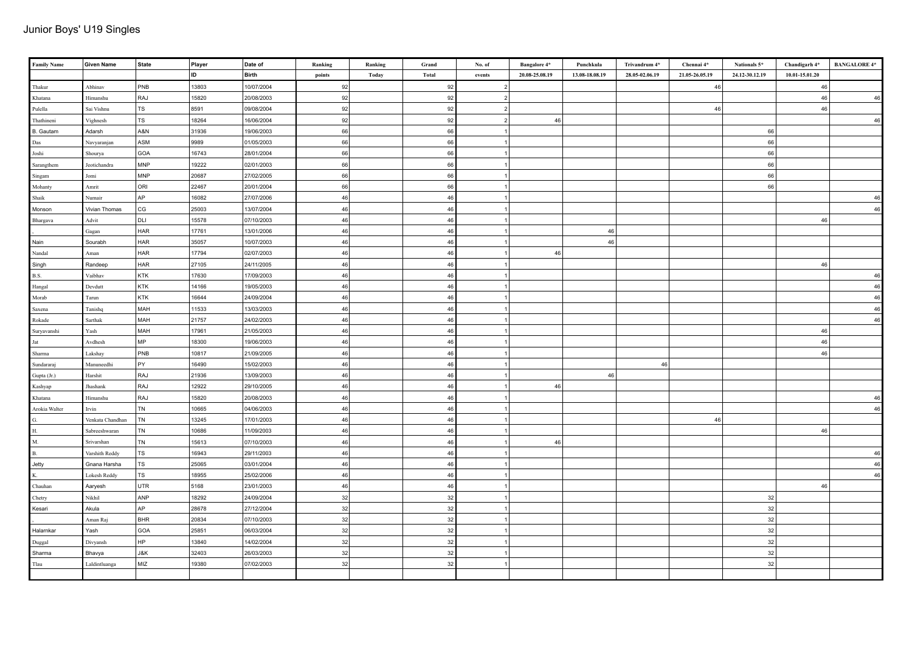| <b>Family Name</b> | <b>Given Name</b> | <b>State</b>   | Player | Date of      | Ranking | Ranking | Grand | No. of         | Bangalore 4*   | Punchkula      | Trivandrum 4*  | Chennai 4*     | Nationals 5*   | Chandigarh 4*  | <b>BANGALORE 4*</b> |
|--------------------|-------------------|----------------|--------|--------------|---------|---------|-------|----------------|----------------|----------------|----------------|----------------|----------------|----------------|---------------------|
|                    |                   |                | ID.    | <b>Birth</b> | points  | Today   | Total | events         | 20.08-25.08.19 | 13.08-18.08.19 | 28.05-02.06.19 | 21.05-26.05.19 | 24.12-30.12.19 | 10.01-15.01.20 |                     |
| Thakur             | Abhinav           | PNB            | 13803  | 10/07/2004   | 92      |         | 92    |                |                |                |                | 46             |                | 46             |                     |
| Khatana            | Himanshu          | RAJ            | 15820  | 20/08/2003   | 92      |         | 92    | $\overline{2}$ |                |                |                |                |                | 46             | 46                  |
| Pulella            | Sai Vishnu        | <b>TS</b>      | 8591   | 09/08/2004   | 92      |         | 92    |                |                |                |                | 46             |                | 46             |                     |
| Thathineni         | Vighnesh          | TS             | 18264  | 16/06/2004   | 92      |         | 92    |                | 46             |                |                |                |                |                | 46                  |
| B. Gautam          | Adarsh            | <b>A&amp;N</b> | 31936  | 19/06/2003   | 66      |         | 66    |                |                |                |                |                | 66             |                |                     |
| Das                | Navyaranjan       | ASM            | 9989   | 01/05/2003   | 66      |         | 66    |                |                |                |                |                | 66             |                |                     |
| Joshi              | Shourya           | GOA            | 16743  | 28/01/2004   | 66      |         | 66    |                |                |                |                |                | 66             |                |                     |
| Sarangthem         | Jeotichandra      | <b>MNP</b>     | 19222  | 02/01/2003   | 66      |         | 66    |                |                |                |                |                | 66             |                |                     |
| Singam             | Jomi              | <b>MNP</b>     | 20687  | 27/02/2005   | 66      |         | 66    |                |                |                |                |                | 66             |                |                     |
| Mohanty            | Amrit             | ORI            | 22467  | 20/01/2004   | 66      |         | 66    |                |                |                |                |                | 66             |                |                     |
| Shaik              | Numair            | AP             | 16082  | 27/07/2006   | 46      |         | 46    |                |                |                |                |                |                |                | 46                  |
| Monson             | Vivian Thomas     | CG             | 25003  | 13/07/2004   | 46      |         | 46    |                |                |                |                |                |                |                | 46                  |
| Bhargava           | Advit             | DLI            | 15578  | 07/10/2003   | 46      |         | 46    |                |                |                |                |                |                | 46             |                     |
|                    | Gagan             | HAR            | 17761  | 13/01/2006   | 46      |         | 46    |                |                | 46             |                |                |                |                |                     |
| Nain               | Sourabh           | HAR            | 35057  | 10/07/2003   | 46      |         | 46    |                |                | 46             |                |                |                |                |                     |
| Nandal             | Aman              | HAR            | 17794  | 02/07/2003   | 46      |         | 46    |                | 46             |                |                |                |                |                |                     |
| Singh              | Randeep           | HAR            | 27105  | 24/11/2005   | 46      |         | 46    |                |                |                |                |                |                | 46             |                     |
| B.S.               | Vaibhav           | KTK            | 17630  | 17/09/2003   | 46      |         | 46    |                |                |                |                |                |                |                | 46                  |
| Hangal             | Devdutt           | KTK            | 14166  | 19/05/2003   | 46      |         | 46    |                |                |                |                |                |                |                | 46                  |
| Morab              | Tarun             | KTK            | 16644  | 24/09/2004   | 46      |         | 46    |                |                |                |                |                |                |                | 46                  |
| Saxena             | Tanishq           | MAH            | 11533  | 13/03/2003   | 46      |         | 46    |                |                |                |                |                |                |                | 46                  |
| Rokade             | Sarthak           | MAH            | 21757  | 24/02/2003   | 46      |         | 46    |                |                |                |                |                |                |                | 46                  |
| Suryavanshi        | Yash              | MAH            | 17961  | 21/05/2003   | 46      |         | 46    |                |                |                |                |                |                | 46             |                     |
| Jat                | Avdhesh           | MP             | 18300  | 19/06/2003   | 46      |         | 46    |                |                |                |                |                |                | 46             |                     |
| Sharma             | Lakshay           | PNB            | 10817  | 21/09/2005   | 46      |         | 46    |                |                |                |                |                |                | 46             |                     |
| Sundararaj         | Manuneedhi        | PY             | 16490  | 15/02/2003   | 46      |         | 46    |                |                |                | 46             |                |                |                |                     |
| Gupta (Jr.)        | Harshit           | <b>RAJ</b>     | 21936  | 13/09/2003   | 46      |         | 46    |                |                | 46             |                |                |                |                |                     |
| Kashyap            | Jhashank          | <b>RAJ</b>     | 12922  | 29/10/2005   | 46      |         | 46    |                | 46             |                |                |                |                |                |                     |
| Khatana            | Himanshu          | <b>RAJ</b>     | 15820  | 20/08/2003   | 46      |         | 46    |                |                |                |                |                |                |                | 46                  |
| Arokia Walter      | Irvin             | TN             | 10665  | 04/06/2003   | 46      |         | 46    |                |                |                |                |                |                |                | 46                  |
| G                  | Venkata Chandhan  | TN             | 13245  | 17/01/2003   | 46      |         | 46    |                |                |                |                | 46             |                |                |                     |
| $\,$ H.            | Sabreeshwaran     | <b>TN</b>      | 10686  | 11/09/2003   | 46      |         | 46    |                |                |                |                |                |                | 46             |                     |
| M.                 | Srivarshan        | <b>TN</b>      | 15613  | 07/10/2003   | 46      |         | 46    |                | 46             |                |                |                |                |                |                     |
| $\overline{B}$     | Varshith Reddy    | TS             | 16943  | 29/11/2003   | 46      |         | 46    |                |                |                |                |                |                |                | 46                  |
| Jetty              | Gnana Harsha      | TS             | 25065  | 03/01/2004   | 46      |         | 46    |                |                |                |                |                |                |                | 46                  |
| $\mathbf{K}$ .     | Lokesh Reddy      | TS             | 18955  | 25/02/2006   | 46      |         | 46    |                |                |                |                |                |                |                | 46                  |
| Chauhan            | Aaryesh           | UTR            | 5168   | 23/01/2003   | 46      |         | 46    |                |                |                |                |                |                | 46             |                     |
| Chetry             | Nikhil            | ANP            | 18292  | 24/09/2004   | 32      |         | 32    |                |                |                |                |                | 32             |                |                     |
| Kesari             | Akula             | AP             | 28678  | 27/12/2004   | 32      |         | 32    |                |                |                |                |                | $32\,$         |                |                     |
|                    | Aman Raj          | <b>BHR</b>     | 20834  | 07/10/2003   | 32      |         | 32    |                |                |                |                |                | $32\,$         |                |                     |
| Halarnkar          | Yash              | GOA            | 25851  | 06/03/2004   | 32      |         | 32    |                |                |                |                |                | 32             |                |                     |
| Duggal             | Divyansh          | HP             | 13840  | 14/02/2004   | 32      |         | 32    |                |                |                |                |                | 32             |                |                     |
| Sharma             | Bhavya            | J&K            | 32403  | 26/03/2003   | 32      |         | 32    |                |                |                |                |                | 32             |                |                     |
| Tlau               | Laldintluanga     | MIZ            | 19380  | 07/02/2003   | 32      |         | 32    |                |                |                |                |                | 32             |                |                     |
|                    |                   |                |        |              |         |         |       |                |                |                |                |                |                |                |                     |